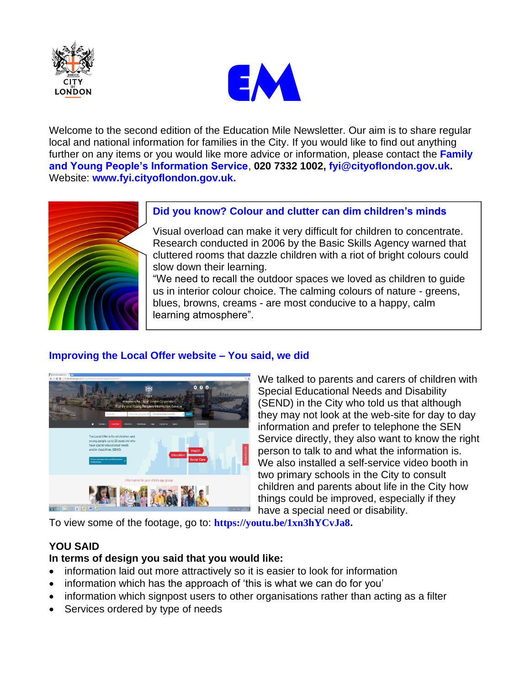



Welcome to the second edition of the Education Mile Newsletter. Our aim is to share regular local and national information for families in the City. If you would like to find out anything further on any items or you would like more advice or information, please contact the **Family and Young People's Information Service**, **020 7332 1002, [fyi@cityoflondon.gov.uk.](mailto:fyi@cityoflondon.gov.uk)**  Website: **[www.fyi.cityoflondon.gov.uk.](http://www.fyi.cityoflondon.gov.uk/)**



### **Did you know? Colour and clutter can dim children's minds**

Visual overload can make it very difficult for children to concentrate. Research conducted in 2006 by the Basic Skills Agency warned that cluttered rooms that dazzle children with a riot of bright colours could slow down their learning.

"We need to recall the outdoor spaces we loved as children to guide us in interior colour choice. The calming colours of nature - greens, blues, browns, creams - are most conducive to a happy, calm learning atmosphere".

# **Improving the Local Offer website – You said, we did**



We talked to parents and carers of children with Special Educational Needs and Disability (SEND) in the City who told us that although they may not look at the web-site for day to day information and prefer to telephone the SEN Service directly, they also want to know the right person to talk to and what the information is. We also installed a self-service video booth in two primary schools in the City to consult children and parents about life in the City how things could be improved, especially if they have a special need or disability.

To view some of the footage, go to: **[https://youtu.be/1xn3hYCvJa8](http://cityoflondon.us7.list-manage1.com/track/click?u=6f9eda135346a1ddca94ced57&id=9af53ace8b&e=21c2930ae8).**

# **YOU SAID**

### **In terms of design you said that you would like:**

- information laid out more attractively so it is easier to look for information
- information which has the approach of 'this is what we can do for you'
- information which signpost users to other organisations rather than acting as a filter
- Services ordered by type of needs